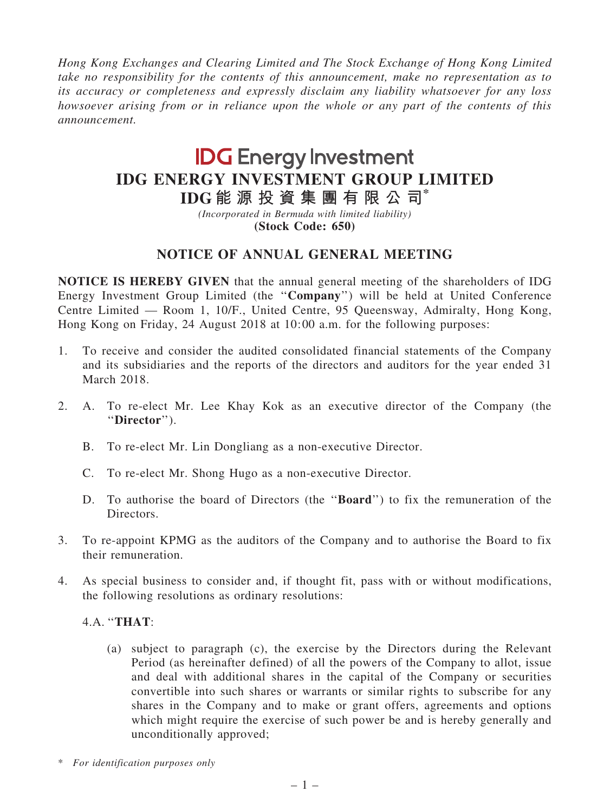Hong Kong Exchanges and Clearing Limited and The Stock Exchange of Hong Kong Limited take no responsibility for the contents of this announcement, make no representation as to its accuracy or completeness and expressly disclaim any liability whatsoever for any loss howsoever arising from or in reliance upon the whole or any part of the contents of this announcement.

## **IDG** Energy Investment IDG ENERGY INVESTMENT GROUP LIMITED

IDG 能 源 投 資 集 團 有 限 公 司\*

(Incorporated in Bermuda with limited liability) (Stock Code: 650)

## NOTICE OF ANNUAL GENERAL MEETING

NOTICE IS HEREBY GIVEN that the annual general meeting of the shareholders of IDG Energy Investment Group Limited (the ''Company'') will be held at United Conference Centre Limited — Room 1, 10/F., United Centre, 95 Queensway, Admiralty, Hong Kong, Hong Kong on Friday, 24 August 2018 at 10:00 a.m. for the following purposes:

- 1. To receive and consider the audited consolidated financial statements of the Company and its subsidiaries and the reports of the directors and auditors for the year ended 31 March 2018.
- 2. A. To re-elect Mr. Lee Khay Kok as an executive director of the Company (the ''Director'').
	- B. To re-elect Mr. Lin Dongliang as a non-executive Director.
	- C. To re-elect Mr. Shong Hugo as a non-executive Director.
	- D. To authorise the board of Directors (the ''Board'') to fix the remuneration of the Directors.
- 3. To re-appoint KPMG as the auditors of the Company and to authorise the Board to fix their remuneration.
- 4. As special business to consider and, if thought fit, pass with or without modifications, the following resolutions as ordinary resolutions:

4.A. ''THAT:

- (a) subject to paragraph (c), the exercise by the Directors during the Relevant Period (as hereinafter defined) of all the powers of the Company to allot, issue and deal with additional shares in the capital of the Company or securities convertible into such shares or warrants or similar rights to subscribe for any shares in the Company and to make or grant offers, agreements and options which might require the exercise of such power be and is hereby generally and unconditionally approved;
- \* For identification purposes only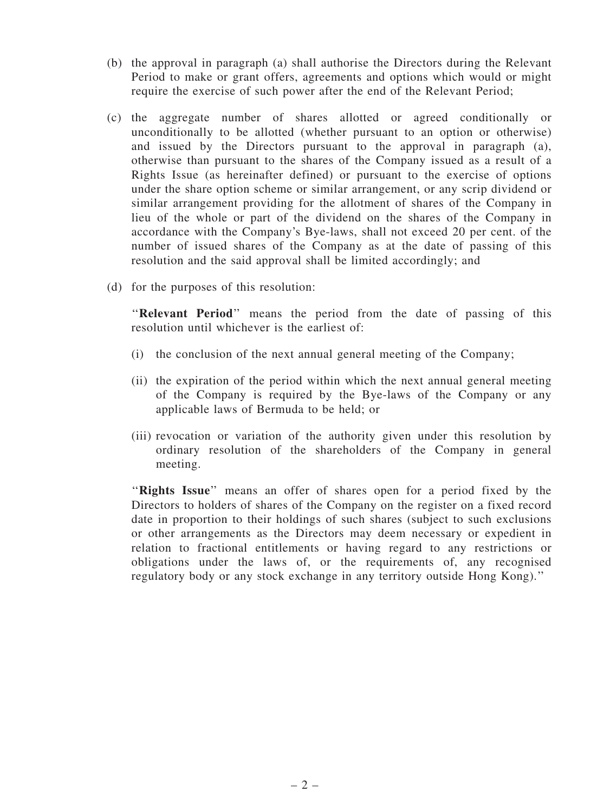- (b) the approval in paragraph (a) shall authorise the Directors during the Relevant Period to make or grant offers, agreements and options which would or might require the exercise of such power after the end of the Relevant Period;
- (c) the aggregate number of shares allotted or agreed conditionally or unconditionally to be allotted (whether pursuant to an option or otherwise) and issued by the Directors pursuant to the approval in paragraph (a), otherwise than pursuant to the shares of the Company issued as a result of a Rights Issue (as hereinafter defined) or pursuant to the exercise of options under the share option scheme or similar arrangement, or any scrip dividend or similar arrangement providing for the allotment of shares of the Company in lieu of the whole or part of the dividend on the shares of the Company in accordance with the Company's Bye-laws, shall not exceed 20 per cent. of the number of issued shares of the Company as at the date of passing of this resolution and the said approval shall be limited accordingly; and
- (d) for the purposes of this resolution:

"Relevant Period" means the period from the date of passing of this resolution until whichever is the earliest of:

- (i) the conclusion of the next annual general meeting of the Company;
- (ii) the expiration of the period within which the next annual general meeting of the Company is required by the Bye-laws of the Company or any applicable laws of Bermuda to be held; or
- (iii) revocation or variation of the authority given under this resolution by ordinary resolution of the shareholders of the Company in general meeting.

"Rights Issue" means an offer of shares open for a period fixed by the Directors to holders of shares of the Company on the register on a fixed record date in proportion to their holdings of such shares (subject to such exclusions or other arrangements as the Directors may deem necessary or expedient in relation to fractional entitlements or having regard to any restrictions or obligations under the laws of, or the requirements of, any recognised regulatory body or any stock exchange in any territory outside Hong Kong).''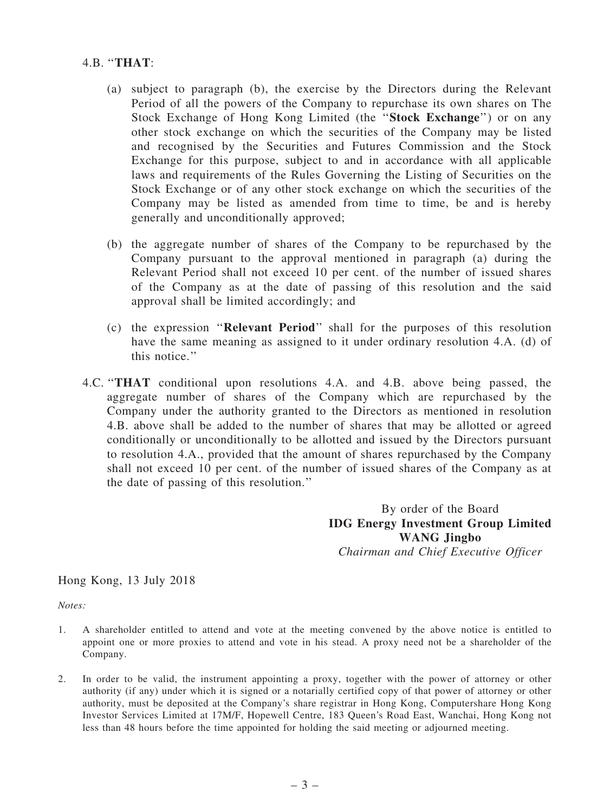## 4.B. ''THAT:

- (a) subject to paragraph (b), the exercise by the Directors during the Relevant Period of all the powers of the Company to repurchase its own shares on The Stock Exchange of Hong Kong Limited (the ''Stock Exchange'') or on any other stock exchange on which the securities of the Company may be listed and recognised by the Securities and Futures Commission and the Stock Exchange for this purpose, subject to and in accordance with all applicable laws and requirements of the Rules Governing the Listing of Securities on the Stock Exchange or of any other stock exchange on which the securities of the Company may be listed as amended from time to time, be and is hereby generally and unconditionally approved;
- (b) the aggregate number of shares of the Company to be repurchased by the Company pursuant to the approval mentioned in paragraph (a) during the Relevant Period shall not exceed 10 per cent. of the number of issued shares of the Company as at the date of passing of this resolution and the said approval shall be limited accordingly; and
- (c) the expression ''Relevant Period'' shall for the purposes of this resolution have the same meaning as assigned to it under ordinary resolution 4.A. (d) of this notice.''
- 4.C. ''THAT conditional upon resolutions 4.A. and 4.B. above being passed, the aggregate number of shares of the Company which are repurchased by the Company under the authority granted to the Directors as mentioned in resolution 4.B. above shall be added to the number of shares that may be allotted or agreed conditionally or unconditionally to be allotted and issued by the Directors pursuant to resolution 4.A., provided that the amount of shares repurchased by the Company shall not exceed 10 per cent. of the number of issued shares of the Company as at the date of passing of this resolution.''

By order of the Board IDG Energy Investment Group Limited WANG Jingbo Chairman and Chief Executive Officer

Hong Kong, 13 July 2018

Notes:

- 1. A shareholder entitled to attend and vote at the meeting convened by the above notice is entitled to appoint one or more proxies to attend and vote in his stead. A proxy need not be a shareholder of the Company.
- 2. In order to be valid, the instrument appointing a proxy, together with the power of attorney or other authority (if any) under which it is signed or a notarially certified copy of that power of attorney or other authority, must be deposited at the Company's share registrar in Hong Kong, Computershare Hong Kong Investor Services Limited at 17M/F, Hopewell Centre, 183 Queen's Road East, Wanchai, Hong Kong not less than 48 hours before the time appointed for holding the said meeting or adjourned meeting.